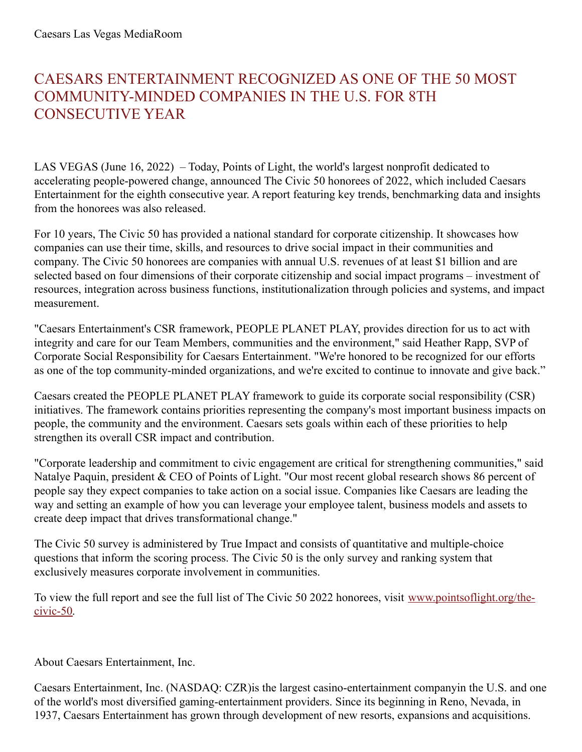## CAESARS ENTERTAINMENT RECOGNIZED AS ONE OF THE 50 MOST COMMUNITY-MINDED COMPANIES IN THE U.S. FOR 8TH CONSECUTIVE YEAR

LAS VEGAS (June 16, 2022) – Today, Points of Light, the world's largest nonprofit dedicated to accelerating people-powered change, announced The Civic 50 honorees of 2022, which included Caesars Entertainment for the eighth consecutive year. A report featuring key trends, benchmarking data and insights from the honorees was also released.

For 10 years, The Civic 50 has provided a national standard for corporate citizenship. It showcases how companies can use their time, skills, and resources to drive social impact in their communities and company. The Civic 50 honorees are companies with annual U.S. revenues of at least \$1 billion and are selected based on four dimensions of their corporate citizenship and social impact programs – investment of resources, integration across business functions, institutionalization through policies and systems, and impact measurement.

"Caesars Entertainment's CSR framework, PEOPLE PLANET PLAY, provides direction for us to act with integrity and care for our Team Members, communities and the environment," said Heather Rapp, SVP of Corporate Social Responsibility for Caesars Entertainment. "We're honored to be recognized for our efforts as one of the top community-minded organizations, and we're excited to continue to innovate and give back."

Caesars created the PEOPLE PLANET PLAY framework to guide its corporate social responsibility (CSR) initiatives. The framework contains priorities representing the company's most important business impacts on people, the community and the environment. Caesars sets goals within each of these priorities to help strengthen its overall CSR impact and contribution.

"Corporate leadership and commitment to civic engagement are critical for strengthening communities," said Natalye Paquin, president & CEO of Points of Light. "Our most recent global research shows 86 percent of people say they expect companies to take action on a social issue. Companies like Caesars are leading the way and setting an example of how you can leverage your employee talent, business models and assets to create deep impact that drives transformational change."

The Civic 50 survey is administered by True Impact and consists of quantitative and multiple-choice questions that inform the scoring process. The Civic 50 is the only survey and ranking system that exclusively measures corporate involvement in communities.

To view the full report and see the full list of The Civic 50 2022 honorees, visit [www.pointsoflight.org/the](https://www.pointsoflight.org/the-civic-50/)civic-50.

About Caesars Entertainment, Inc.

Caesars Entertainment, Inc. (NASDAQ: CZR)is the largest casino-entertainment companyin the U.S. and one of the world's most diversified gaming-entertainment providers. Since its beginning in Reno, Nevada, in 1937, Caesars Entertainment has grown through development of new resorts, expansions and acquisitions.